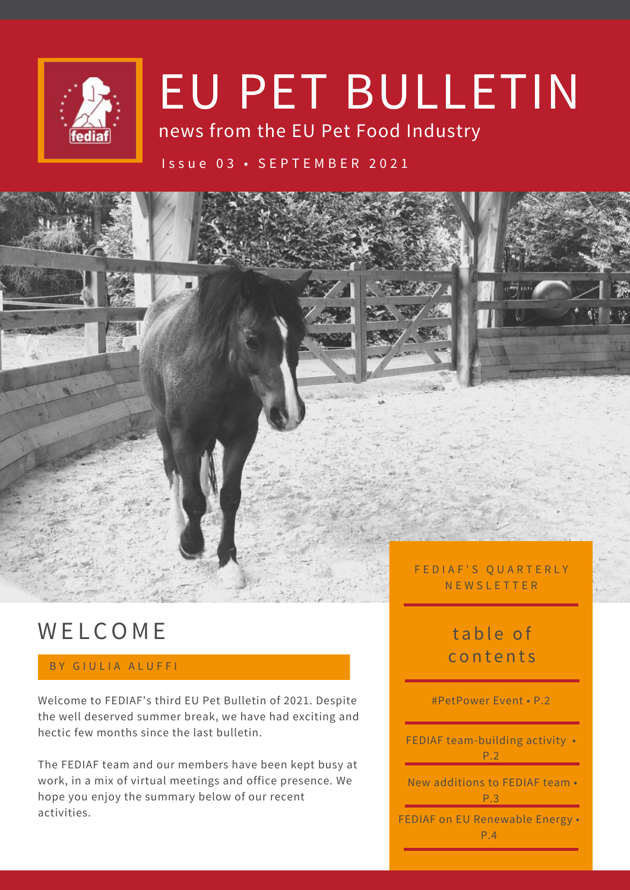

# EU PET BULLETIN

news from the EU Pet Food Industry

#### I s s u e 0 3 • S E P T E M B E R 2 0 2 1



# **WELCOME**

#### BY GIULIA ALUFFI

Welcome to FEDIAF's third EU Pet Bulletin of 2021. Despite the well deserved summer break, we have had exciting and hectic few months since the last bulletin.

The FEDIAF team and our members have been kept busy at work, in a mix of virtual meetings and office presence. We hope you enjoy the summary below of our recent activities.

# table of c o n t e n t s

#### #PetPower Event • P.2

FEDIAF team-building activity • P.2

New additions to FEDIAF team •  $P.3$ 

FEDIAF on EU Renewable Energy • P.4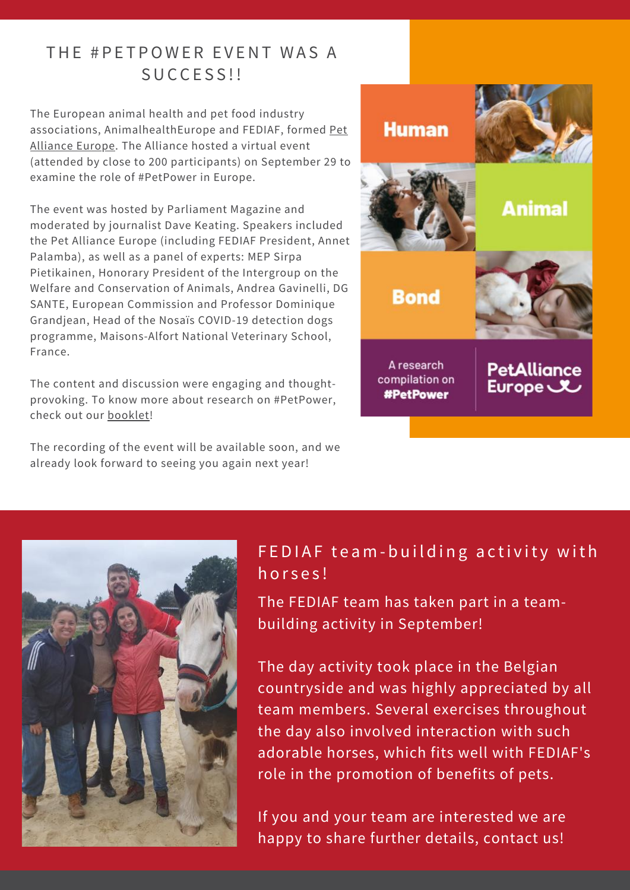### THE #PETPOWER EVENT WAS A SUCCESS!!

The European animal health and pet food industry [associations, AnimalhealthEurope and FEDIAF, formed Pet](https://pet-power.eu/) Alliance Europe. The Alliance hosted a virtual event (attended by close to 200 participants) on September 29 to examine the role of #PetPower in Europe.

The event was hosted by Parliament Magazine and moderated by journalist Dave Keating. Speakers included the Pet Alliance Europe (including FEDIAF President, Annet Palamba), as well as a panel of experts: MEP Sirpa Pietikainen, Honorary President of the Intergroup on the Welfare and Conservation of Animals, Andrea Gavinelli, DG SANTE, European Commission and Professor Dominique Grandjean, Head of the Nosaïs COVID-19 detection dogs programme, Maisons-Alfort National Veterinary School, France.

The content and discussion were engaging and thoughtprovoking. To know more about research on #PetPower, check out our [booklet!](https://pet-power.eu/wp-content/uploads/2021/09/hab-petpower-brochure.pdf)

The recording of the event will be available soon, and we already look forward to seeing you again next year!





#### FEDIAF team-building activity with horses!

The FEDIAF team has taken part in a teambuilding activity in September!

The day activity took place in the Belgian countryside and was highly appreciated by all team members. Several exercises throughout the day also involved interaction with such adorable horses, which fits well with FEDIAF's role in the promotion of benefits of pets.

If you and your team are interested we are happy to share further details, contact us!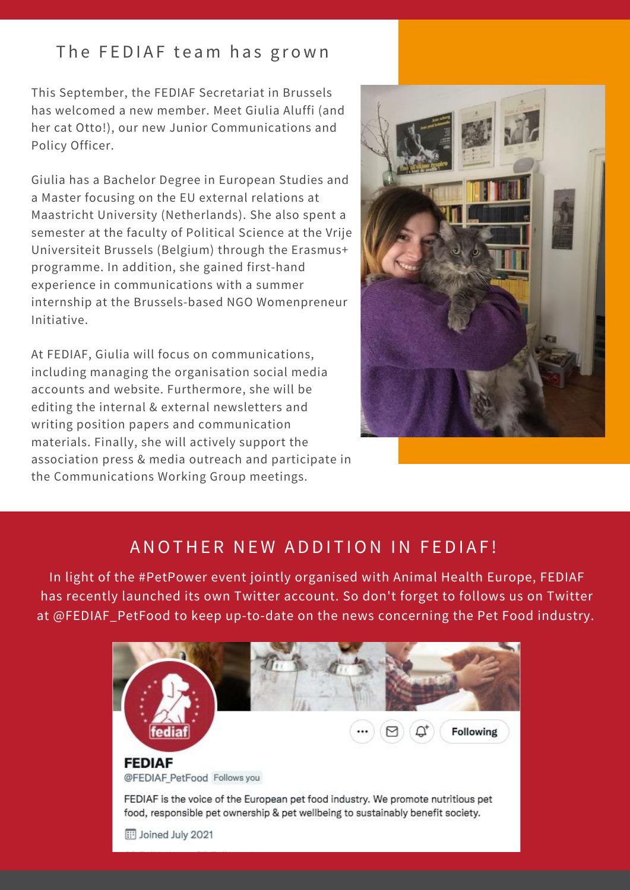#### The FEDIAF team has grown

This September, the FEDIAF Secretariat in Brussels has welcomed a new member. Meet Giulia Aluffi (and her cat Otto!), our new Junior Communications and Policy Officer.

Giulia has a Bachelor Degree in European Studies and a Master focusing on the EU external relations at Maastricht University (Netherlands). She also spent a semester at the faculty of Political Science at the Vrije Universiteit Brussels (Belgium) through the Erasmus+ programme. In addition, she gained first-hand experience in communications with a summer internship at the Brussels-based NGO Womenpreneur Initiative.

At FEDIAF, Giulia will focus on communications, including managing the organisation social media accounts and website. Furthermore, she will be editing the internal & external newsletters and writing position papers and communication materials. Finally, she will actively support the association press & media outreach and participate in the Communications Working Group meetings.



#### A NOTHER NEW ADDITION IN FEDIAF!

In light of the #PetPower event jointly organised with Animal Health Europe, FEDIAF has recently launched its own Twitter account. So don't forget to follows us on Twitter at @FEDIAF\_PetFood to keep up-to-date on the news concerning the Pet Food industry.